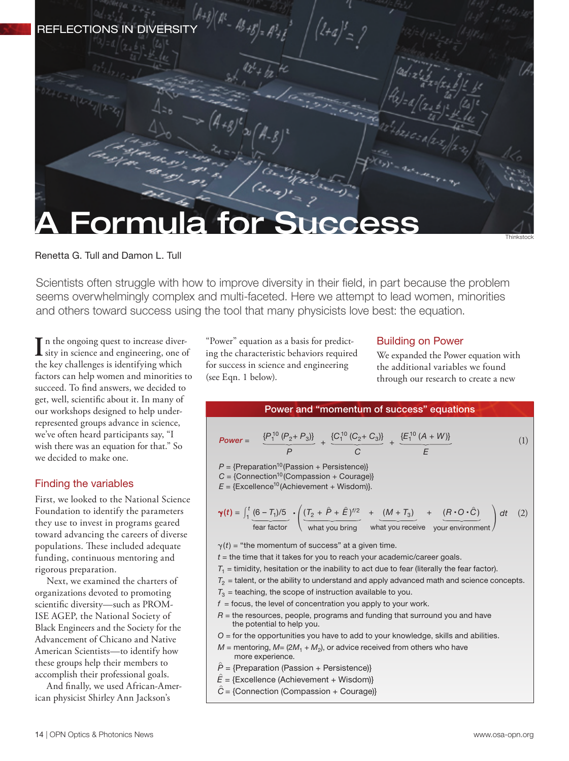

Renetta G. Tull and Damon L. Tull

Scientists often struggle with how to improve diversity in their field, in part because the problem seems overwhelmingly complex and multi-faceted. Here we attempt to lead women, minorities and others toward success using the tool that many physicists love best: the equation.

In the ongoing quest to increase diver-<br>sity in science and engineering, one of sity in science and engineering, one of the key challenges is identifying which factors can help women and minorities to succeed. To find answers, we decided to get, well, scientific about it. In many of our workshops designed to help underrepresented groups advance in science, we've often heard participants say, "I wish there was an equation for that." So we decided to make one.

# Finding the variables

First, we looked to the National Science Foundation to identify the parameters they use to invest in programs geared toward advancing the careers of diverse populations. These included adequate funding, continuous mentoring and rigorous preparation.

Next, we examined the charters of organizations devoted to promoting scientific diversity—such as PROM-ISE AGEP, the National Society of Black Engineers and the Society for the Advancement of Chicano and Native American Scientists—to identify how these groups help their members to accomplish their professional goals.

And finally, we used African-American physicist Shirley Ann Jackson's

"Power" equation as a basis for predicting the characteristic behaviors required for success in science and engineering (see Eqn. 1 below).

## Building on Power

We expanded the Power equation with the additional variables we found through our research to create a new



- *P ^* = {Preparation (Passion + Persistence)}
- $\hat{E}$  = {Excellence (Achievement + Wisdom)}
- *C ^* = {Connection (Compassion + Courage)}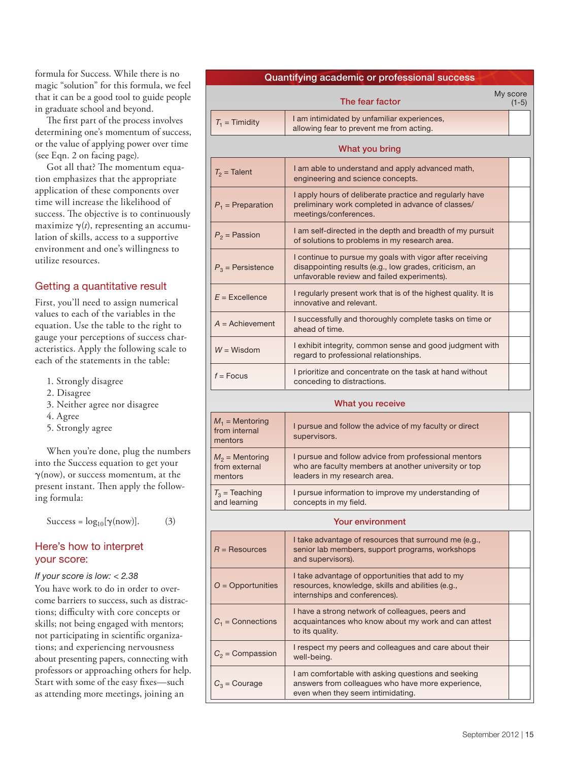formula for Success. While there is no magic "solution" for this formula, we feel that it can be a good tool to guide people in graduate school and beyond.

The first part of the process involves determining one's momentum of success, or the value of applying power over time (see Eqn. 2 on facing page).

Got all that? The momentum equation emphasizes that the appropriate application of these components over time will increase the likelihood of success. The objective is to continuously maximize  $\gamma(t)$ , representing an accumulation of skills, access to a supportive environment and one's willingness to utilize resources.

# Getting a quantitative result

First, you'll need to assign numerical values to each of the variables in the equation. Use the table to the right to gauge your perceptions of success characteristics. Apply the following scale to each of the statements in the table:

- 1. Strongly disagree
- 2. Disagree
- 3. Neither agree nor disagree
- 4. Agree
- 5. Strongly agree

When you're done, plug the numbers into the Success equation to get your  $\gamma$ (now), or success momentum, at the present instant. Then apply the following formula:

Success =  $log_{10}[\gamma(\text{now})]$ . (3)

## Here's how to interpret your score:

#### *If your score is low: < 2.38*

You have work to do in order to overcome barriers to success, such as distractions; difficulty with core concepts or skills; not being engaged with mentors; not participating in scientific organizations; and experiencing nervousness about presenting papers, connecting with professors or approaching others for help. Start with some of the easy fixes—such as attending more meetings, joining an

| Quantifying academic or professional success |                                                                                         |  |                     |  |  |
|----------------------------------------------|-----------------------------------------------------------------------------------------|--|---------------------|--|--|
|                                              | The fear factor                                                                         |  | My score<br>$(1-5)$ |  |  |
| $T_1$ = Timidity                             | I am intimidated by unfamiliar experiences,<br>allowing fear to prevent me from acting. |  |                     |  |  |
|                                              |                                                                                         |  |                     |  |  |

| What you bring                                |                                                                                                                                                                   |  |  |  |  |  |
|-----------------------------------------------|-------------------------------------------------------------------------------------------------------------------------------------------------------------------|--|--|--|--|--|
| $T_2$ = Talent                                | I am able to understand and apply advanced math,<br>engineering and science concepts.                                                                             |  |  |  |  |  |
| $P_1$ = Preparation                           | I apply hours of deliberate practice and regularly have<br>preliminary work completed in advance of classes/<br>meetings/conferences.                             |  |  |  |  |  |
| $P_2$ = Passion                               | I am self-directed in the depth and breadth of my pursuit<br>of solutions to problems in my research area.                                                        |  |  |  |  |  |
| $P_3$ = Persistence                           | I continue to pursue my goals with vigor after receiving<br>disappointing results (e.g., low grades, criticism, an<br>unfavorable review and failed experiments). |  |  |  |  |  |
| $E =$ Excellence                              | I regularly present work that is of the highest quality. It is<br>innovative and relevant.                                                                        |  |  |  |  |  |
| $A =$ Achievement                             | I successfully and thoroughly complete tasks on time or<br>ahead of time.                                                                                         |  |  |  |  |  |
| $W = W$ isdom                                 | I exhibit integrity, common sense and good judgment with<br>regard to professional relationships.                                                                 |  |  |  |  |  |
| $f =$ Focus                                   | I prioritize and concentrate on the task at hand without<br>conceding to distractions.                                                                            |  |  |  |  |  |
| What you receive                              |                                                                                                                                                                   |  |  |  |  |  |
| $M_1$ = Mentoring<br>from internal<br>mentors | I pursue and follow the advice of my faculty or direct<br>supervisors.                                                                                            |  |  |  |  |  |
| $M_2$ = Mentoring<br>from external<br>mentors | I pursue and follow advice from professional mentors<br>who are faculty members at another university or top<br>leaders in my research area.                      |  |  |  |  |  |
| $T_3$ = Teaching<br>and learning              | I pursue information to improve my understanding of<br>concepts in my field.                                                                                      |  |  |  |  |  |

#### Your environment

| $R =$ Resources     | I take advantage of resources that surround me (e.g.,<br>senior lab members, support programs, workshops<br>and supervisors).                |  |
|---------------------|----------------------------------------------------------------------------------------------------------------------------------------------|--|
| $O =$ Opportunities | I take advantage of opportunities that add to my<br>resources, knowledge, skills and abilities (e.g.,<br>internships and conferences).       |  |
| $C_1$ = Connections | I have a strong network of colleagues, peers and<br>acquaintances who know about my work and can attest<br>to its quality.                   |  |
| $C_2$ = Compassion  | I respect my peers and colleagues and care about their<br>well-being.                                                                        |  |
| $C_3$ = Courage     | I am comfortable with asking questions and seeking<br>answers from colleagues who have more experience,<br>even when they seem intimidating. |  |